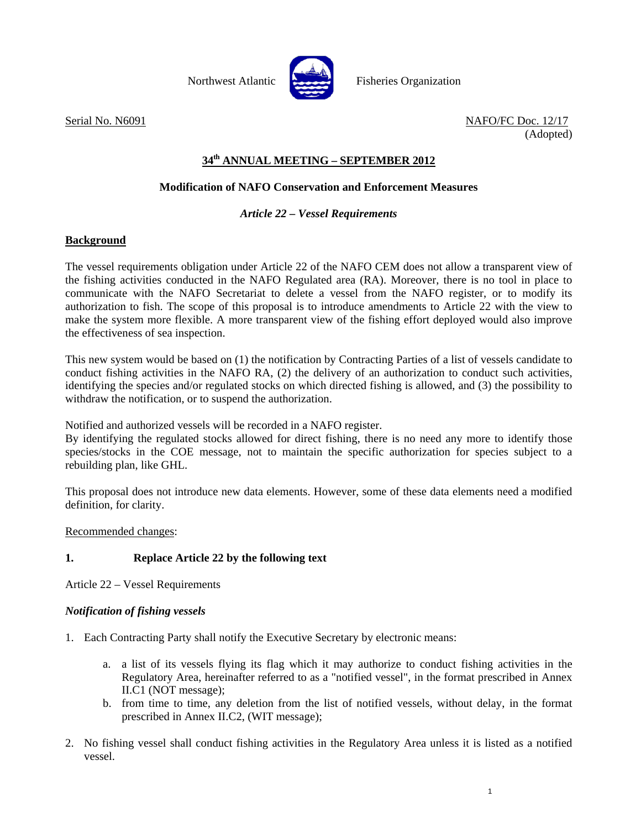



Northwest Atlantic **Report Fisheries Organization** 

Serial No. N6091 NAFO/FC Doc. 12/17 (Adopted)

## **34th ANNUAL MEETING – SEPTEMBER 2012**

## **Modification of NAFO Conservation and Enforcement Measures**

### *Article 22 – Vessel Requirements*

#### **Background**

The vessel requirements obligation under Article 22 of the NAFO CEM does not allow a transparent view of the fishing activities conducted in the NAFO Regulated area (RA). Moreover, there is no tool in place to communicate with the NAFO Secretariat to delete a vessel from the NAFO register, or to modify its authorization to fish. The scope of this proposal is to introduce amendments to Article 22 with the view to make the system more flexible. A more transparent view of the fishing effort deployed would also improve the effectiveness of sea inspection.

This new system would be based on (1) the notification by Contracting Parties of a list of vessels candidate to conduct fishing activities in the NAFO RA, (2) the delivery of an authorization to conduct such activities, identifying the species and/or regulated stocks on which directed fishing is allowed, and (3) the possibility to withdraw the notification, or to suspend the authorization.

Notified and authorized vessels will be recorded in a NAFO register.

By identifying the regulated stocks allowed for direct fishing, there is no need any more to identify those species/stocks in the COE message, not to maintain the specific authorization for species subject to a rebuilding plan, like GHL.

This proposal does not introduce new data elements. However, some of these data elements need a modified definition, for clarity.

Recommended changes:

### **1. Replace Article 22 by the following text**

Article 22 – Vessel Requirements

### *Notification of fishing vessels*

- 1. Each Contracting Party shall notify the Executive Secretary by electronic means:
	- a. a list of its vessels flying its flag which it may authorize to conduct fishing activities in the Regulatory Area, hereinafter referred to as a "notified vessel", in the format prescribed in Annex II.C1 (NOT message);
	- b. from time to time, any deletion from the list of notified vessels, without delay, in the format prescribed in Annex II.C2, (WIT message);
- 2. No fishing vessel shall conduct fishing activities in the Regulatory Area unless it is listed as a notified vessel.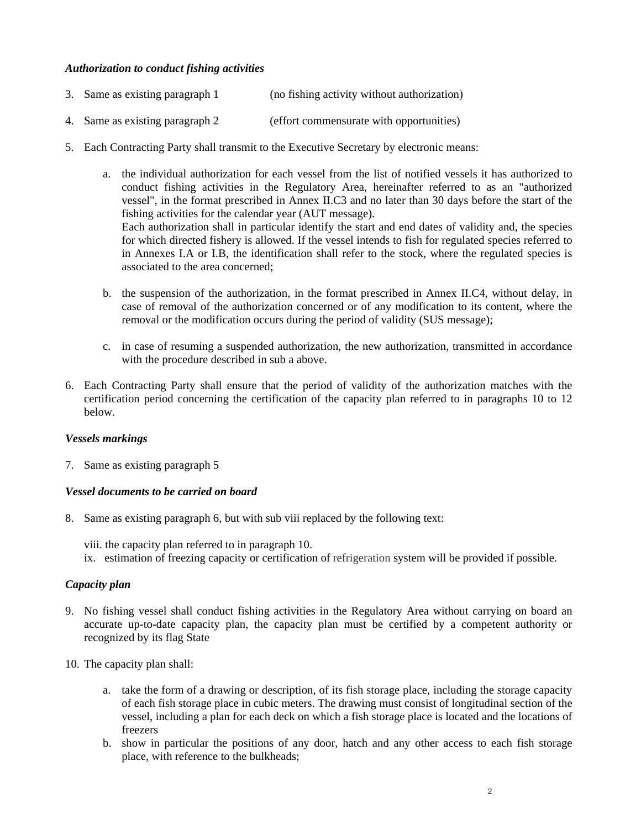#### *Authorization to conduct fishing activities*

- 3. Same as existing paragraph 1 (no fishing activity without authorization)
- 4. Same as existing paragraph 2 (effort commensurate with opportunities)
- 5. Each Contracting Party shall transmit to the Executive Secretary by electronic means:

a. the individual authorization for each vessel from the list of notified vessels it has authorized to conduct fishing activities in the Regulatory Area, hereinafter referred to as an "authorized vessel", in the format prescribed in Annex II.C3 and no later than 30 days before the start of the fishing activities for the calendar year (AUT message). Each authorization shall in particular identify the start and end dates of validity and, the species for which directed fishery is allowed. If the vessel intends to fish for regulated species referred to in Annexes I.A or I.B, the identification shall refer to the stock, where the regulated species is associated to the area concerned;

- b. the suspension of the authorization, in the format prescribed in Annex II.C4, without delay, in case of removal of the authorization concerned or of any modification to its content, where the removal or the modification occurs during the period of validity (SUS message);
- c. in case of resuming a suspended authorization, the new authorization, transmitted in accordance with the procedure described in sub a above.
- 6. Each Contracting Party shall ensure that the period of validity of the authorization matches with the certification period concerning the certification of the capacity plan referred to in paragraphs 10 to 12 below.

#### *Vessels markings*

7. Same as existing paragraph 5

#### *Vessel documents to be carried on board*

8. Same as existing paragraph 6, but with sub viii replaced by the following text:

viii. the capacity plan referred to in paragraph 10. ix. estimation of freezing capacity or certification of refrigeration system will be provided if possible.

#### *Capacity plan*

- 9. No fishing vessel shall conduct fishing activities in the Regulatory Area without carrying on board an accurate up-to-date capacity plan, the capacity plan must be certified by a competent authority or recognized by its flag State
- 10. The capacity plan shall:
	- a. take the form of a drawing or description, of its fish storage place, including the storage capacity of each fish storage place in cubic meters. The drawing must consist of longitudinal section of the vessel, including a plan for each deck on which a fish storage place is located and the locations of freezers
	- b. show in particular the positions of any door, hatch and any other access to each fish storage place, with reference to the bulkheads;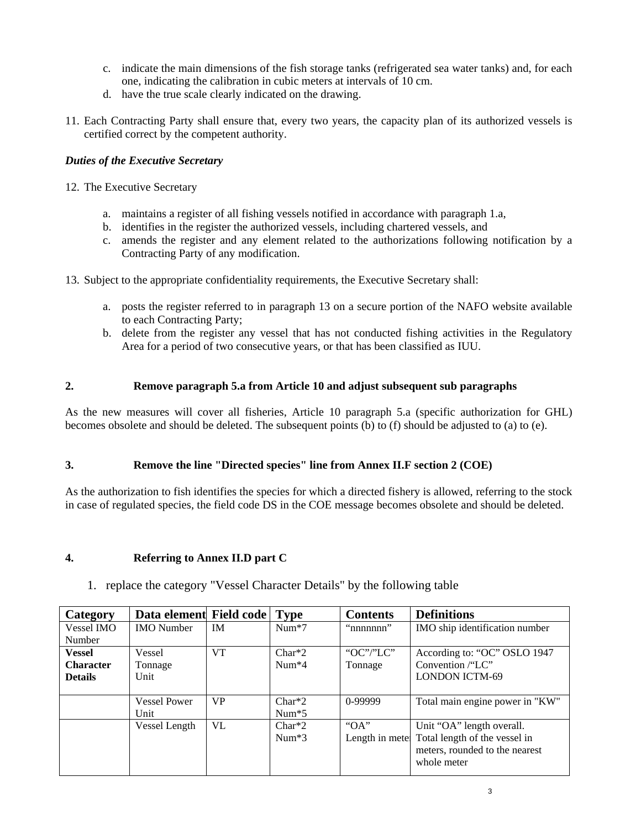- c. indicate the main dimensions of the fish storage tanks (refrigerated sea water tanks) and, for each one, indicating the calibration in cubic meters at intervals of 10 cm.
- d. have the true scale clearly indicated on the drawing.
- 11. Each Contracting Party shall ensure that, every two years, the capacity plan of its authorized vessels is certified correct by the competent authority.

### *Duties of the Executive Secretary*

- 12. The Executive Secretary
	- a. maintains a register of all fishing vessels notified in accordance with paragraph 1.a,
	- b. identifies in the register the authorized vessels, including chartered vessels, and
	- c. amends the register and any element related to the authorizations following notification by a Contracting Party of any modification.
- 13. Subject to the appropriate confidentiality requirements, the Executive Secretary shall:
	- a. posts the register referred to in paragraph 13 on a secure portion of the NAFO website available to each Contracting Party;
	- b. delete from the register any vessel that has not conducted fishing activities in the Regulatory Area for a period of two consecutive years, or that has been classified as IUU.

#### **2. Remove paragraph 5.a from Article 10 and adjust subsequent sub paragraphs**

As the new measures will cover all fisheries, Article 10 paragraph 5.a (specific authorization for GHL) becomes obsolete and should be deleted. The subsequent points (b) to (f) should be adjusted to (a) to (e).

#### **3. Remove the line "Directed species" line from Annex II.F section 2 (COE)**

As the authorization to fish identifies the species for which a directed fishery is allowed, referring to the stock in case of regulated species, the field code DS in the COE message becomes obsolete and should be deleted.

#### **4. Referring to Annex II.D part C**

1. replace the category "Vessel Character Details" by the following table

|                     |           |          | <b>Contents</b>              | <b>Definitions</b>                           |
|---------------------|-----------|----------|------------------------------|----------------------------------------------|
| <b>IMO</b> Number   | IM.       | $Num*7$  | "nnnnnnn"                    | IMO ship identification number               |
|                     |           |          |                              |                                              |
| Vessel              | <b>VT</b> | $Char*2$ | "OC"/"LC"                    | According to: "OC" OSLO 1947                 |
| Tonnage             |           | $Num*4$  | Tonnage                      | Convention /"LC"                             |
| Unit                |           |          |                              | <b>LONDON ICTM-69</b>                        |
|                     |           |          |                              |                                              |
| <b>Vessel Power</b> | <b>VP</b> | $Char*2$ | 0-99999                      | Total main engine power in "KW"              |
| Unit                |           | $Num*5$  |                              |                                              |
| Vessel Length       | VL.       | $Char*2$ | " $OA$ "                     | Unit "OA" length overall.                    |
|                     |           | $Num*3$  |                              | Length in mete Total length of the vessel in |
|                     |           |          |                              | meters, rounded to the nearest               |
|                     |           |          |                              | whole meter                                  |
|                     |           |          | Data element Field code Type |                                              |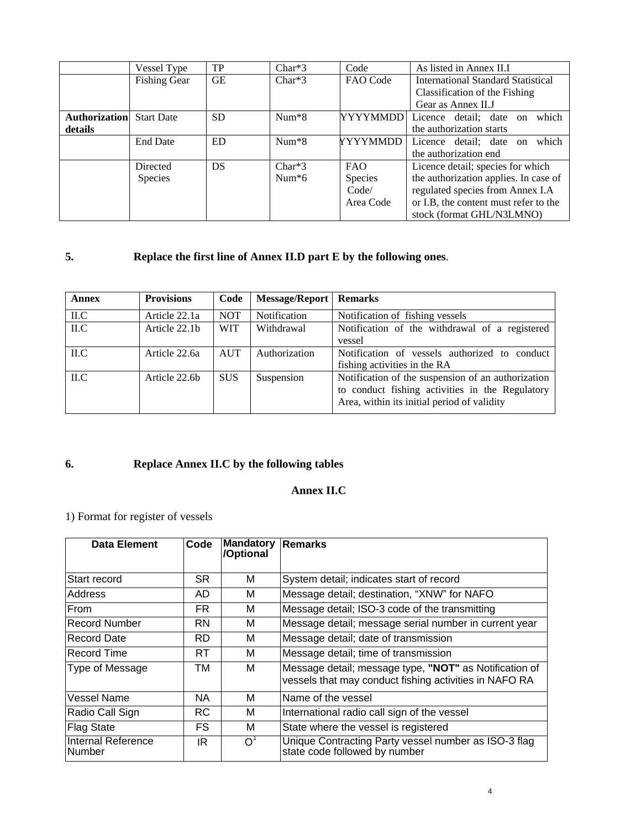|                      | Vessel Type         | TP        | $Char*3$ | Code       | As listed in Annex II.I               |
|----------------------|---------------------|-----------|----------|------------|---------------------------------------|
|                      | <b>Fishing Gear</b> | <b>GE</b> | $Char*3$ | FAO Code   | International Standard Statistical    |
|                      |                     |           |          |            | Classification of the Fishing         |
|                      |                     |           |          |            | Gear as Annex II.J                    |
| <b>Authorization</b> | <b>Start Date</b>   | <b>SD</b> | $Num*8$  | YYYYMMDD   | which<br>Licence detail; date on      |
| details              |                     |           |          |            | the authorization starts              |
|                      | <b>End Date</b>     | ED.       | $Num*8$  | YYYYMMDD   | which<br>Licence detail; date on      |
|                      |                     |           |          |            | the authorization end                 |
|                      | Directed            | DS        | $Char*3$ | <b>FAO</b> | Licence detail; species for which     |
|                      | Species             |           | Num $*6$ | Species    | the authorization applies. In case of |
|                      |                     |           |          | Code/      | regulated species from Annex I.A      |
|                      |                     |           |          | Area Code  | or I.B, the content must refer to the |
|                      |                     |           |          |            | stock (format GHL/N3LMNO)             |

# **5. Replace the first line of Annex II.D part E by the following ones**.

| <b>Annex</b> | <b>Provisions</b> | Code       | <b>Message/Report   Remarks</b> |                                                                                                                                                      |
|--------------|-------------------|------------|---------------------------------|------------------------------------------------------------------------------------------------------------------------------------------------------|
| ILC          | Article 22.1a     | <b>NOT</b> | Notification                    | Notification of fishing vessels                                                                                                                      |
| ILC          | Article 22.1b     | <b>WIT</b> | Withdrawal                      | Notification of the withdrawal of a registered<br>vessel                                                                                             |
| ILC          | Article 22.6a     | <b>AUT</b> | Authorization                   | Notification of vessels authorized to conduct<br>fishing activities in the RA                                                                        |
| ILC          | Article 22.6b     | <b>SUS</b> | Suspension                      | Notification of the suspension of an authorization<br>to conduct fishing activities in the Regulatory<br>Area, within its initial period of validity |

# **6. Replace Annex II.C by the following tables**

## **Annex II.C**

# 1) Format for register of vessels

| Data Element                 | Code      | <b>Mandatory</b><br>/Optional | <b>Remarks</b>                                                                                                   |
|------------------------------|-----------|-------------------------------|------------------------------------------------------------------------------------------------------------------|
| Start record                 | SR.       | м                             | System detail; indicates start of record                                                                         |
| Address                      | AD        | м                             | Message detail; destination, "XNW" for NAFO                                                                      |
| <b>From</b>                  | <b>FR</b> | м                             | Message detail; ISO-3 code of the transmitting                                                                   |
| Record Number                | RN        | м                             | Message detail; message serial number in current year                                                            |
| <b>Record Date</b>           | RD.       | м                             | Message detail; date of transmission                                                                             |
| <b>Record Time</b>           | RT.       | м                             | Message detail; time of transmission                                                                             |
| Type of Message              | TM        | м                             | Message detail; message type, "NOT" as Notification of<br>vessels that may conduct fishing activities in NAFO RA |
| Vessel Name                  | NA.       | м                             | Name of the vessel                                                                                               |
| Radio Call Sign              | <b>RC</b> | м                             | International radio call sign of the vessel                                                                      |
| <b>Flag State</b>            | FS.       | м                             | State where the vessel is registered                                                                             |
| Internal Reference<br>Number | IR.       | $\Omega$                      | Unique Contracting Party vessel number as ISO-3 flag<br>state code followed by number                            |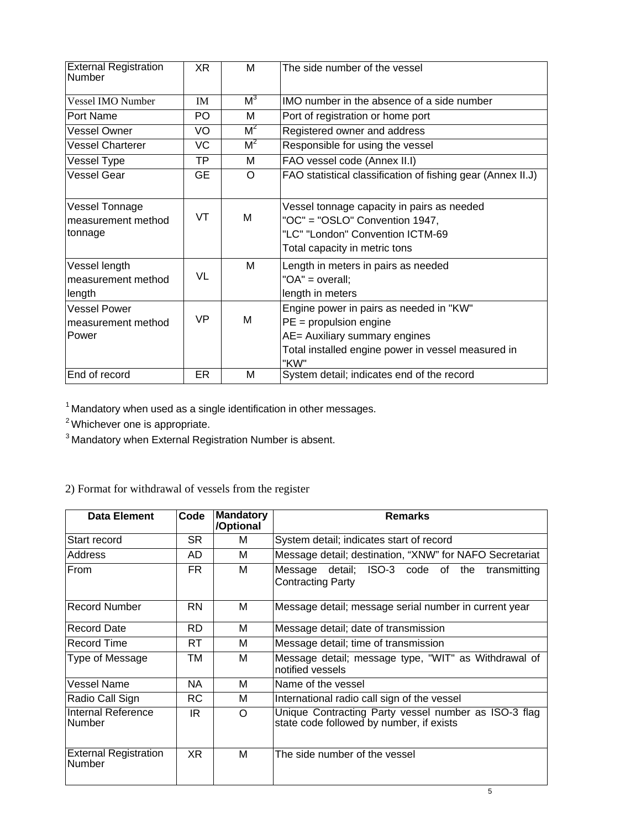| <b>External Registration</b><br>Number             | XR        | м              | The side number of the vessel                                                                                                                                      |
|----------------------------------------------------|-----------|----------------|--------------------------------------------------------------------------------------------------------------------------------------------------------------------|
| Vessel IMO Number                                  | <b>IM</b> | M <sup>3</sup> | IMO number in the absence of a side number                                                                                                                         |
| Port Name                                          | PO.       | М              | Port of registration or home port                                                                                                                                  |
| Vessel Owner                                       | VO        | $M^2$          | Registered owner and address                                                                                                                                       |
| <b>Vessel Charterer</b>                            | VC        | $M^2$          | Responsible for using the vessel                                                                                                                                   |
| Vessel Type                                        | TP        | м              | FAO vessel code (Annex II.I)                                                                                                                                       |
| <b>Vessel Gear</b>                                 | <b>GE</b> | $\Omega$       | FAO statistical classification of fishing gear (Annex II.J)                                                                                                        |
| Vessel Tonnage<br>measurement method<br>tonnage    | VT        | M              | Vessel tonnage capacity in pairs as needed<br>"OC" = "OSLO" Convention 1947,<br>"LC" "London" Convention ICTM-69<br>Total capacity in metric tons                  |
| Vessel length<br>measurement method<br>length      | VL        | М              | Length in meters in pairs as needed<br>"OA" = overall;<br>length in meters                                                                                         |
| <b>Vessel Power</b><br>measurement method<br>Power | VP        | M              | Engine power in pairs as needed in "KW"<br>$PE =$ propulsion engine<br>AE= Auxiliary summary engines<br>Total installed engine power in vessel measured in<br>"KW" |
| End of record                                      | <b>ER</b> | M              | System detail; indicates end of the record                                                                                                                         |

 $1$  Mandatory when used as a single identification in other messages.

<sup>2</sup> Whichever one is appropriate.

3 Mandatory when External Registration Number is absent.

2) Format for withdrawal of vessels from the register

| Data Element                           | Code           | <b>Mandatory</b><br>/Optional | <b>Remarks</b>                                                                                   |
|----------------------------------------|----------------|-------------------------------|--------------------------------------------------------------------------------------------------|
| Start record                           | SR.            | м                             | System detail; indicates start of record                                                         |
| Address                                | AD.            | м                             | Message detail; destination, "XNW" for NAFO Secretariat                                          |
| From                                   | FR.            | м                             | Message detail; ISO-3 code of the<br>transmitting<br><b>Contracting Party</b>                    |
| <b>Record Number</b>                   | <b>RN</b>      | м                             | Message detail; message serial number in current year                                            |
| <b>Record Date</b>                     | <b>RD</b>      | м                             | Message detail; date of transmission                                                             |
| <b>Record Time</b>                     | <b>RT</b>      | м                             | Message detail; time of transmission                                                             |
| Type of Message                        | тм             | м                             | Message detail; message type, "WIT" as Withdrawal of<br>notified vessels                         |
| Vessel Name                            | NA.            | м                             | Name of the vessel                                                                               |
| Radio Call Sign                        | RC             | м                             | International radio call sign of the vessel                                                      |
| Internal Reference<br>Number           | IR.            | $\Omega$                      | Unique Contracting Party vessel number as ISO-3 flag<br>state code followed by number, if exists |
| <b>External Registration</b><br>Number | X <sub>R</sub> | M                             | The side number of the vessel                                                                    |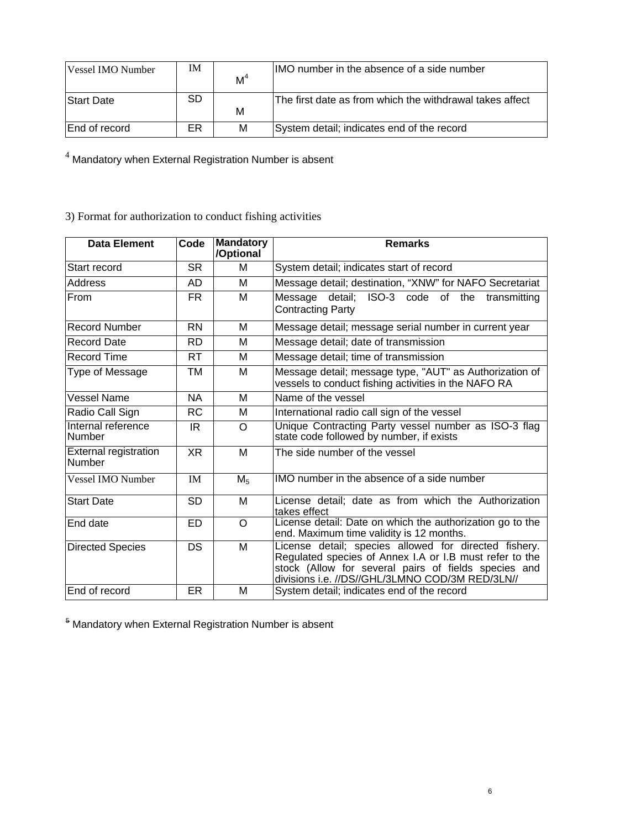| Vessel IMO Number    | IΜ | M <sup>4</sup> | IIMO number in the absence of a side number              |
|----------------------|----|----------------|----------------------------------------------------------|
| Start Date           | SD | м              | The first date as from which the withdrawal takes affect |
| <b>End of record</b> | ER | М              | System detail; indicates end of the record               |

 $^4$  Mandatory when External Registration Number is absent

3) Format for authorization to conduct fishing activities

| <b>Data Element</b>                    | Code      | <b>Mandatory</b><br>/Optional | <b>Remarks</b>                                                                                                                                                                                                              |  |
|----------------------------------------|-----------|-------------------------------|-----------------------------------------------------------------------------------------------------------------------------------------------------------------------------------------------------------------------------|--|
| Start record                           | <b>SR</b> | м                             | System detail; indicates start of record                                                                                                                                                                                    |  |
| Address                                | AD        | м                             | Message detail; destination, "XNW" for NAFO Secretariat                                                                                                                                                                     |  |
| From                                   | FR.       | М                             | Message detail; ISO-3 code of the<br>transmitting<br><b>Contracting Party</b>                                                                                                                                               |  |
| <b>Record Number</b>                   | <b>RN</b> | м                             | Message detail; message serial number in current year                                                                                                                                                                       |  |
| <b>Record Date</b>                     | <b>RD</b> | м                             | Message detail; date of transmission                                                                                                                                                                                        |  |
| <b>Record Time</b>                     | <b>RT</b> | м                             | Message detail; time of transmission                                                                                                                                                                                        |  |
| Type of Message                        | ТM        | м                             | Message detail; message type, "AUT" as Authorization of<br>vessels to conduct fishing activities in the NAFO RA                                                                                                             |  |
| <b>Vessel Name</b>                     | <b>NA</b> | м                             | Name of the vessel                                                                                                                                                                                                          |  |
| Radio Call Sign                        | <b>RC</b> | м                             | International radio call sign of the vessel                                                                                                                                                                                 |  |
| Internal reference<br>Number           | IR.       | $\Omega$                      | Unique Contracting Party vessel number as ISO-3 flag<br>state code followed by number, if exists                                                                                                                            |  |
| <b>External registration</b><br>Number | <b>XR</b> | M                             | The side number of the vessel                                                                                                                                                                                               |  |
| <b>Vessel IMO Number</b>               | <b>IM</b> | M <sub>5</sub>                | IMO number in the absence of a side number                                                                                                                                                                                  |  |
| <b>Start Date</b>                      | <b>SD</b> | M                             | License detail; date as from which the Authorization<br>takes effect                                                                                                                                                        |  |
| End date                               | <b>ED</b> | $\Omega$                      | License detail: Date on which the authorization go to the<br>end. Maximum time validity is 12 months.                                                                                                                       |  |
| <b>Directed Species</b>                | <b>DS</b> | M                             | License detail; species allowed for directed fishery.<br>Regulated species of Annex I.A or I.B must refer to the<br>stock (Allow for several pairs of fields species and<br>divisions i.e. //DS//GHL/3LMNO COD/3M RED/3LN// |  |
| End of record                          | ER        | м                             | System detail; indicates end of the record                                                                                                                                                                                  |  |

<sup>5</sup> Mandatory when External Registration Number is absent